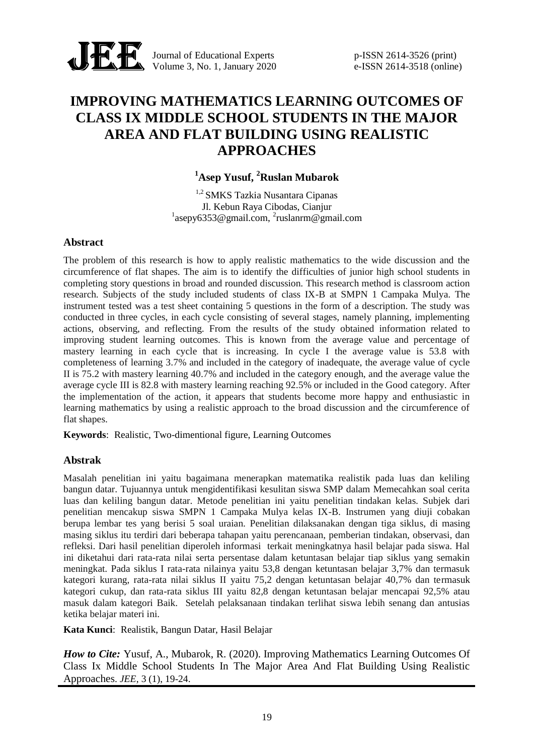

Journal of Educational Experts p-ISSN 2614-3526 (print) Volume 3, No. 1, January 2020 e-ISSN 2614-3518 (online)

# **IMPROVING MATHEMATICS LEARNING OUTCOMES OF CLASS IX MIDDLE SCHOOL STUDENTS IN THE MAJOR AREA AND FLAT BUILDING USING REALISTIC APPROACHES**

# **<sup>1</sup>Asep Yusuf, <sup>2</sup>Ruslan Mubarok**

1,2 SMKS Tazkia Nusantara Cipanas Jl. Kebun Raya Cibodas, Cianjur  $^{1}$ asepy6353@gmail.com,  $^{2}$ ruslanrm@gmail.com

### **Abstract**

The problem of this research is how to apply realistic mathematics to the wide discussion and the circumference of flat shapes. The aim is to identify the difficulties of junior high school students in completing story questions in broad and rounded discussion. This research method is classroom action research. Subjects of the study included students of class IX-B at SMPN 1 Campaka Mulya. The instrument tested was a test sheet containing 5 questions in the form of a description. The study was conducted in three cycles, in each cycle consisting of several stages, namely planning, implementing actions, observing, and reflecting. From the results of the study obtained information related to improving student learning outcomes. This is known from the average value and percentage of mastery learning in each cycle that is increasing. In cycle I the average value is 53.8 with completeness of learning 3.7% and included in the category of inadequate, the average value of cycle II is 75.2 with mastery learning 40.7% and included in the category enough, and the average value the average cycle III is 82.8 with mastery learning reaching 92.5% or included in the Good category. After the implementation of the action, it appears that students become more happy and enthusiastic in learning mathematics by using a realistic approach to the broad discussion and the circumference of flat shapes.

**Keywords**: Realistic, Two-dimentional figure, Learning Outcomes

## **Abstrak**

Masalah penelitian ini yaitu bagaimana menerapkan matematika realistik pada luas dan keliling bangun datar. Tujuannya untuk mengidentifikasi kesulitan siswa SMP dalam Memecahkan soal cerita luas dan keliling bangun datar. Metode penelitian ini yaitu penelitian tindakan kelas. Subjek dari penelitian mencakup siswa SMPN 1 Campaka Mulya kelas IX-B. Instrumen yang diuji cobakan berupa lembar tes yang berisi 5 soal uraian. Penelitian dilaksanakan dengan tiga siklus, di masing masing siklus itu terdiri dari beberapa tahapan yaitu perencanaan, pemberian tindakan, observasi, dan refleksi. Dari hasil penelitian diperoleh informasi terkait meningkatnya hasil belajar pada siswa. Hal ini diketahui dari rata-rata nilai serta persentase dalam ketuntasan belajar tiap siklus yang semakin meningkat. Pada siklus I rata-rata nilainya yaitu 53,8 dengan ketuntasan belajar 3,7% dan termasuk kategori kurang, rata-rata nilai siklus II yaitu 75,2 dengan ketuntasan belajar 40,7% dan termasuk kategori cukup, dan rata-rata siklus III yaitu 82,8 dengan ketuntasan belajar mencapai 92,5% atau masuk dalam kategori Baik. Setelah pelaksanaan tindakan terlihat siswa lebih senang dan antusias ketika belajar materi ini.

**Kata Kunci**: Realistik, Bangun Datar, Hasil Belajar

*How to Cite: Yusuf, A., Mubarok, R. (2020). Improving Mathematics Learning Outcomes Of* Class Ix Middle School Students In The Major Area And Flat Building Using Realistic Approaches. *JEE*, 3 (1), 19-24.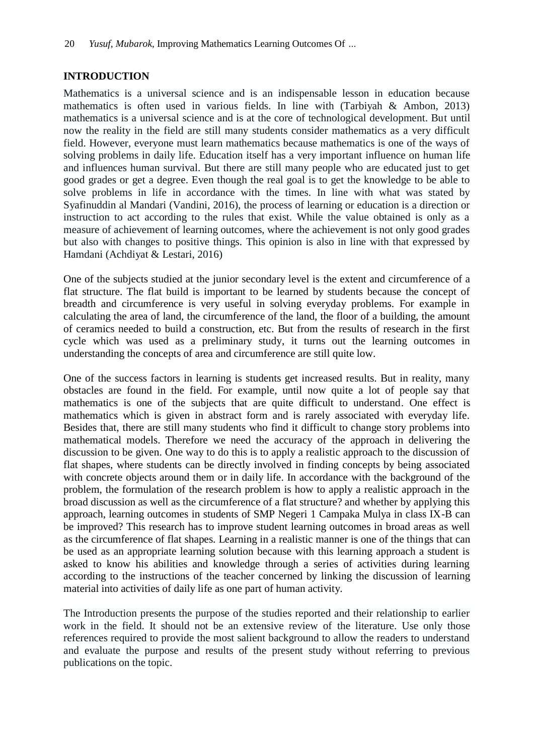## **INTRODUCTION**

Mathematics is a universal science and is an indispensable lesson in education because mathematics is often used in various fields. In line with (Tarbiyah & Ambon, 2013) mathematics is a universal science and is at the core of technological development. But until now the reality in the field are still many students consider mathematics as a very difficult field. However, everyone must learn mathematics because mathematics is one of the ways of solving problems in daily life. Education itself has a very important influence on human life and influences human survival. But there are still many people who are educated just to get good grades or get a degree. Even though the real goal is to get the knowledge to be able to solve problems in life in accordance with the times. In line with what was stated by Syafinuddin al Mandari (Vandini, 2016), the process of learning or education is a direction or instruction to act according to the rules that exist. While the value obtained is only as a measure of achievement of learning outcomes, where the achievement is not only good grades but also with changes to positive things. This opinion is also in line with that expressed by Hamdani (Achdiyat & Lestari, 2016)

One of the subjects studied at the junior secondary level is the extent and circumference of a flat structure. The flat build is important to be learned by students because the concept of breadth and circumference is very useful in solving everyday problems. For example in calculating the area of land, the circumference of the land, the floor of a building, the amount of ceramics needed to build a construction, etc. But from the results of research in the first cycle which was used as a preliminary study, it turns out the learning outcomes in understanding the concepts of area and circumference are still quite low.

One of the success factors in learning is students get increased results. But in reality, many obstacles are found in the field. For example, until now quite a lot of people say that mathematics is one of the subjects that are quite difficult to understand. One effect is mathematics which is given in abstract form and is rarely associated with everyday life. Besides that, there are still many students who find it difficult to change story problems into mathematical models. Therefore we need the accuracy of the approach in delivering the discussion to be given. One way to do this is to apply a realistic approach to the discussion of flat shapes, where students can be directly involved in finding concepts by being associated with concrete objects around them or in daily life. In accordance with the background of the problem, the formulation of the research problem is how to apply a realistic approach in the broad discussion as well as the circumference of a flat structure? and whether by applying this approach, learning outcomes in students of SMP Negeri 1 Campaka Mulya in class IX-B can be improved? This research has to improve student learning outcomes in broad areas as well as the circumference of flat shapes. Learning in a realistic manner is one of the things that can be used as an appropriate learning solution because with this learning approach a student is asked to know his abilities and knowledge through a series of activities during learning according to the instructions of the teacher concerned by linking the discussion of learning material into activities of daily life as one part of human activity.

The Introduction presents the purpose of the studies reported and their relationship to earlier work in the field. It should not be an extensive review of the literature. Use only those references required to provide the most salient background to allow the readers to understand and evaluate the purpose and results of the present study without referring to previous publications on the topic.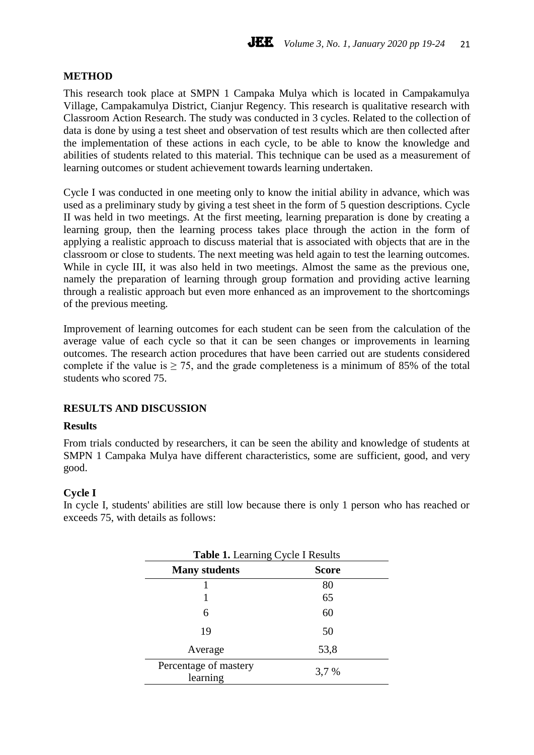### **METHOD**

This research took place at SMPN 1 Campaka Mulya which is located in Campakamulya Village, Campakamulya District, Cianjur Regency. This research is qualitative research with Classroom Action Research. The study was conducted in 3 cycles. Related to the collection of data is done by using a test sheet and observation of test results which are then collected after the implementation of these actions in each cycle, to be able to know the knowledge and abilities of students related to this material. This technique can be used as a measurement of learning outcomes or student achievement towards learning undertaken.

Cycle I was conducted in one meeting only to know the initial ability in advance, which was used as a preliminary study by giving a test sheet in the form of 5 question descriptions. Cycle II was held in two meetings. At the first meeting, learning preparation is done by creating a learning group, then the learning process takes place through the action in the form of applying a realistic approach to discuss material that is associated with objects that are in the classroom or close to students. The next meeting was held again to test the learning outcomes. While in cycle III, it was also held in two meetings. Almost the same as the previous one, namely the preparation of learning through group formation and providing active learning through a realistic approach but even more enhanced as an improvement to the shortcomings of the previous meeting.

Improvement of learning outcomes for each student can be seen from the calculation of the average value of each cycle so that it can be seen changes or improvements in learning outcomes. The research action procedures that have been carried out are students considered complete if the value is  $\geq$  75, and the grade completeness is a minimum of 85% of the total students who scored 75.

## **RESULTS AND DISCUSSION**

#### **Results**

From trials conducted by researchers, it can be seen the ability and knowledge of students at SMPN 1 Campaka Mulya have different characteristics, some are sufficient, good, and very good.

#### **Cycle I**

In cycle I, students' abilities are still low because there is only 1 person who has reached or exceeds 75, with details as follows:

| <b>Table 1.</b> Learning Cycle I Results |              |  |
|------------------------------------------|--------------|--|
| <b>Many students</b>                     | <b>Score</b> |  |
|                                          | 80           |  |
|                                          | 65           |  |
| 6                                        | 60           |  |
| 19                                       | 50           |  |
| Average                                  | 53,8         |  |
| Percentage of mastery<br>learning        | 3,7 %        |  |

# **Table 1.** Learning Cycle I Results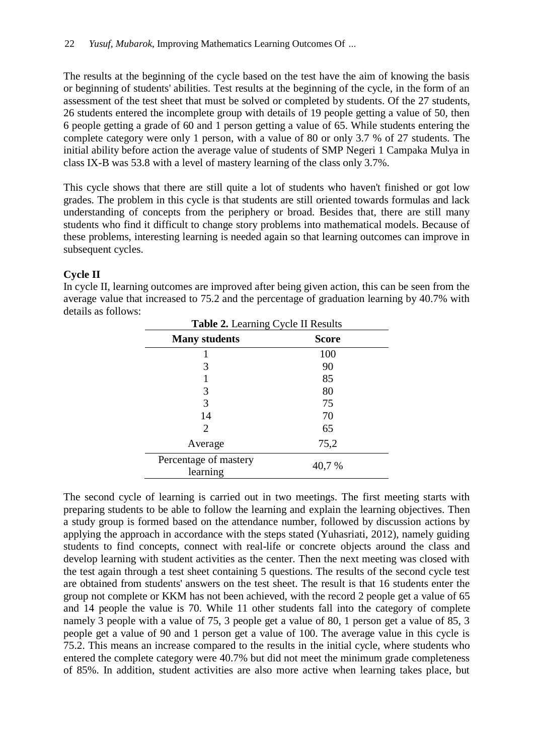The results at the beginning of the cycle based on the test have the aim of knowing the basis or beginning of students' abilities. Test results at the beginning of the cycle, in the form of an assessment of the test sheet that must be solved or completed by students. Of the 27 students, 26 students entered the incomplete group with details of 19 people getting a value of 50, then 6 people getting a grade of 60 and 1 person getting a value of 65. While students entering the complete category were only 1 person, with a value of 80 or only 3.7 % of 27 students. The initial ability before action the average value of students of SMP Negeri 1 Campaka Mulya in class IX-B was 53.8 with a level of mastery learning of the class only 3.7%.

This cycle shows that there are still quite a lot of students who haven't finished or got low grades. The problem in this cycle is that students are still oriented towards formulas and lack understanding of concepts from the periphery or broad. Besides that, there are still many students who find it difficult to change story problems into mathematical models. Because of these problems, interesting learning is needed again so that learning outcomes can improve in subsequent cycles.

## **Cycle II**

| Table 2. Learning Cycle II Results |              |  |
|------------------------------------|--------------|--|
| <b>Many students</b>               | <b>Score</b> |  |
|                                    | 100          |  |
| 3                                  | 90           |  |
|                                    | 85           |  |
| 3                                  | 80           |  |
| 3                                  | 75           |  |
| 14                                 | 70           |  |
| 2                                  | 65           |  |
| Average                            | 75,2         |  |
| Percentage of mastery<br>learning  | 40,7 %       |  |

In cycle II, learning outcomes are improved after being given action, this can be seen from the average value that increased to 75.2 and the percentage of graduation learning by 40.7% with details as follows:

The second cycle of learning is carried out in two meetings. The first meeting starts with preparing students to be able to follow the learning and explain the learning objectives. Then a study group is formed based on the attendance number, followed by discussion actions by applying the approach in accordance with the steps stated (Yuhasriati, 2012), namely guiding students to find concepts, connect with real-life or concrete objects around the class and develop learning with student activities as the center. Then the next meeting was closed with the test again through a test sheet containing 5 questions. The results of the second cycle test are obtained from students' answers on the test sheet. The result is that 16 students enter the group not complete or KKM has not been achieved, with the record 2 people get a value of 65 and 14 people the value is 70. While 11 other students fall into the category of complete namely 3 people with a value of 75, 3 people get a value of 80, 1 person get a value of 85, 3 people get a value of 90 and 1 person get a value of 100. The average value in this cycle is 75.2. This means an increase compared to the results in the initial cycle, where students who entered the complete category were 40.7% but did not meet the minimum grade completeness of 85%. In addition, student activities are also more active when learning takes place, but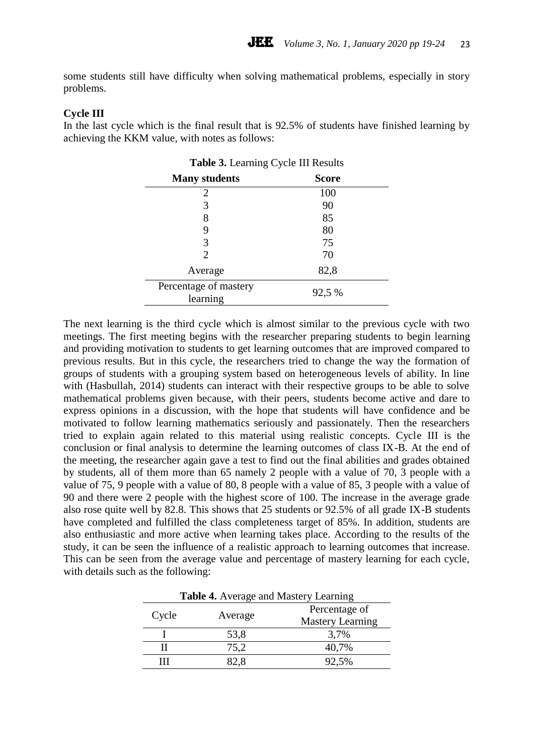some students still have difficulty when solving mathematical problems, especially in story problems.

#### **Cycle III**

In the last cycle which is the final result that is 92.5% of students have finished learning by achieving the KKM value, with notes as follows:

| Table 3. Learning Cycle III Results |              |  |
|-------------------------------------|--------------|--|
| <b>Many students</b>                | <b>Score</b> |  |
| 2                                   | 100          |  |
| 3                                   | 90           |  |
| 8                                   | 85           |  |
| 9                                   | 80           |  |
| 3                                   | 75           |  |
| $\mathcal{D}_{\cdot}$               | 70           |  |
| Average                             | 82,8         |  |
| Percentage of mastery<br>learning   | 92,5 %       |  |

The next learning is the third cycle which is almost similar to the previous cycle with two meetings. The first meeting begins with the researcher preparing students to begin learning and providing motivation to students to get learning outcomes that are improved compared to previous results. But in this cycle, the researchers tried to change the way the formation of groups of students with a grouping system based on heterogeneous levels of ability. In line with (Hasbullah, 2014) students can interact with their respective groups to be able to solve mathematical problems given because, with their peers, students become active and dare to express opinions in a discussion, with the hope that students will have confidence and be motivated to follow learning mathematics seriously and passionately. Then the researchers tried to explain again related to this material using realistic concepts. Cycle III is the conclusion or final analysis to determine the learning outcomes of class IX-B. At the end of the meeting, the researcher again gave a test to find out the final abilities and grades obtained by students, all of them more than 65 namely 2 people with a value of 70, 3 people with a value of 75, 9 people with a value of 80, 8 people with a value of 85, 3 people with a value of 90 and there were 2 people with the highest score of 100. The increase in the average grade also rose quite well by 82.8. This shows that 25 students or 92.5% of all grade IX-B students have completed and fulfilled the class completeness target of 85%. In addition, students are also enthusiastic and more active when learning takes place. According to the results of the study, it can be seen the influence of a realistic approach to learning outcomes that increase. This can be seen from the average value and percentage of mastery learning for each cycle, with details such as the following:

| Table 4. Average and Mastery Learning |         |                         |
|---------------------------------------|---------|-------------------------|
| Cycle                                 | Average | Percentage of           |
|                                       |         | <b>Mastery Learning</b> |
|                                       | 53,8    | 3,7%                    |
| Н                                     | 75,2    | 40,7%                   |
| ш                                     | 82.8    | 92,5%                   |